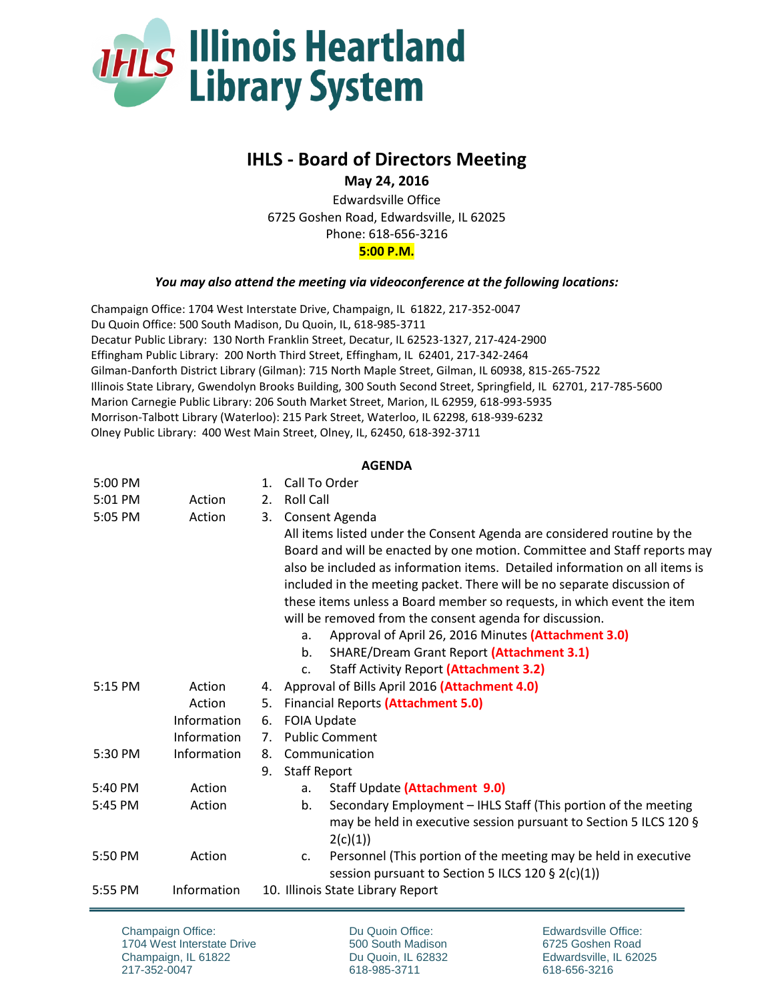

## **IHLS - Board of Directors Meeting**

**May 24, 2016**

Edwardsville Office 6725 Goshen Road, Edwardsville, IL 62025 Phone: 618-656-3216 **5:00 P.M.**

## *You may also attend the meeting via videoconference at the following locations:*

Champaign Office: 1704 West Interstate Drive, Champaign, IL 61822, 217-352-0047 Du Quoin Office: 500 South Madison, Du Quoin, IL, 618-985-3711 Decatur Public Library: 130 North Franklin Street, Decatur, IL 62523-1327, 217-424-2900 Effingham Public Library: 200 North Third Street, Effingham, IL 62401, 217-342-2464 Gilman-Danforth District Library (Gilman): 715 North Maple Street, Gilman, IL 60938, 815-265-7522 Illinois State Library, Gwendolyn Brooks Building, 300 South Second Street, Springfield, IL 62701, 217-785-5600 Marion Carnegie Public Library: 206 South Market Street, Marion, IL 62959, 618-993-5935 Morrison-Talbott Library (Waterloo): 215 Park Street, Waterloo, IL 62298, 618-939-6232 Olney Public Library: 400 West Main Street, Olney, IL, 62450, 618-392-3711

## **AGENDA**

| 5:00 PM           |             | 1.             | Call To Order                                                                     |
|-------------------|-------------|----------------|-----------------------------------------------------------------------------------|
| 5:01 PM           | Action      | 2.             | <b>Roll Call</b>                                                                  |
| 5:05 PM           | Action      | 3.             | Consent Agenda                                                                    |
|                   |             |                | All items listed under the Consent Agenda are considered routine by the           |
|                   |             |                | Board and will be enacted by one motion. Committee and Staff reports may          |
|                   |             |                | also be included as information items. Detailed information on all items is       |
|                   |             |                | included in the meeting packet. There will be no separate discussion of           |
|                   |             |                | these items unless a Board member so requests, in which event the item            |
|                   |             |                | will be removed from the consent agenda for discussion.                           |
|                   |             |                | Approval of April 26, 2016 Minutes (Attachment 3.0)<br>a.                         |
|                   |             |                | <b>SHARE/Dream Grant Report (Attachment 3.1)</b><br>$b_{\cdot}$                   |
|                   |             |                | <b>Staff Activity Report (Attachment 3.2)</b><br>C <sub>1</sub>                   |
| 5:15 PM           | Action      | 4.             | Approval of Bills April 2016 (Attachment 4.0)                                     |
|                   | Action      | 5.             | <b>Financial Reports (Attachment 5.0)</b>                                         |
|                   | Information | 6.             | FOIA Update                                                                       |
|                   | Information | 7 <sup>1</sup> | <b>Public Comment</b>                                                             |
| 5:30 PM           | Information | 8.             | Communication                                                                     |
|                   |             | 9.             | <b>Staff Report</b>                                                               |
| $5:40 \text{ PM}$ | Action      |                | Staff Update (Attachment 9.0)<br>a.                                               |
| 5:45 PM           | Action      |                | Secondary Employment - IHLS Staff (This portion of the meeting<br>b.              |
|                   |             |                | may be held in executive session pursuant to Section 5 ILCS 120 §                 |
|                   |             |                | 2(c)(1))                                                                          |
| 5:50 PM           | Action      |                | Personnel (This portion of the meeting may be held in executive<br>C <sub>1</sub> |
|                   |             |                | session pursuant to Section 5 ILCS 120 § 2(c)(1))                                 |
| 5:55 PM           | Information |                | 10. Illinois State Library Report                                                 |

Champaign Office: 1704 West Interstate Drive Champaign, IL 61822 217-352-0047

Du Quoin Office: 500 South Madison Du Quoin, IL 62832 618-985-3711

Edwardsville Office: 6725 Goshen Road Edwardsville, IL 62025 618-656-3216